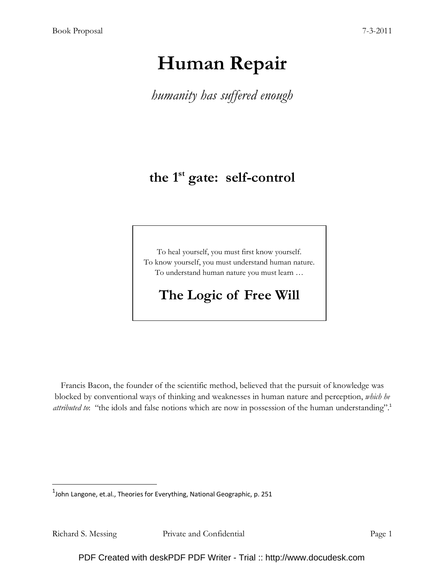# Human Repair

humanity has suffered enough

# the 1<sup>st</sup> gate: self-control

To heal yourself, you must first know yourself. To know yourself, you must understand human nature. To understand human nature you must learn …

# The Logic of Free Will

Francis Bacon, the founder of the scientific method, believed that the pursuit of knowledge was blocked by conventional ways of thinking and weaknesses in human nature and perception, which he attributed to: "the idols and false notions which are now in possession of the human understanding".<sup>1</sup>

<u>.</u>

 $^{1}$ John Langone, et.al., Theories for Everything, National Geographic, p. 251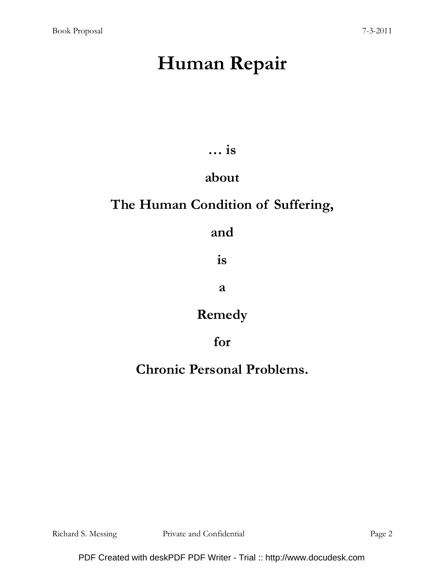# Human Repair

… is

# about

# The Human Condition of Suffering,

### and

is

a

### Remedy

### for

# Chronic Personal Problems.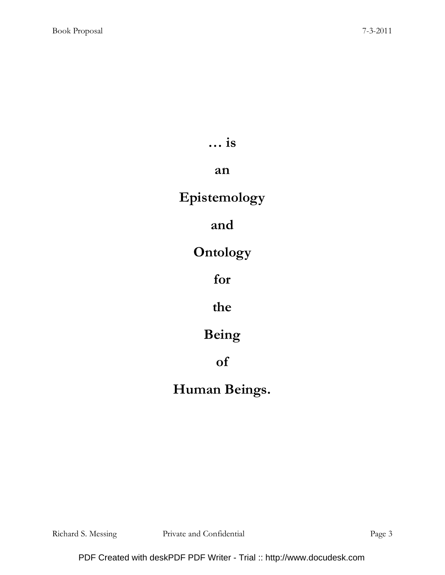… is

#### an

# Epistemology

### and

# **Ontology**

# for

### the

# Being

# of

# Human Beings.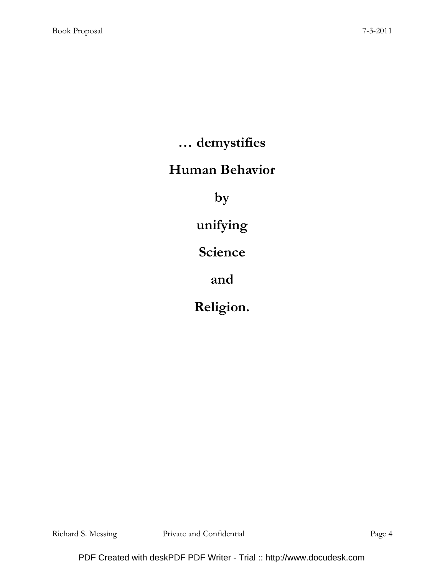… demystifies

### Human Behavior

by

unifying

Science

and

Religion.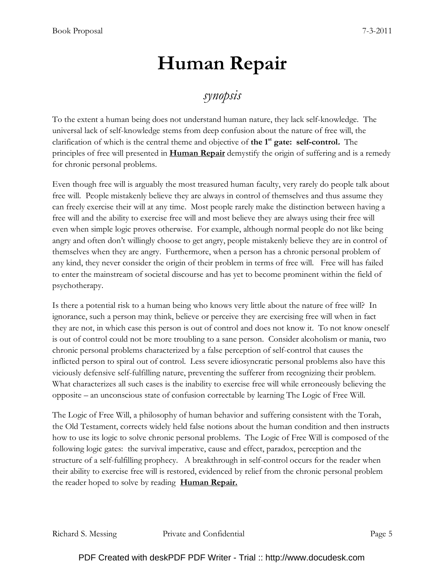# Human Repair

### synopsis

To the extent a human being does not understand human nature, they lack self-knowledge. The universal lack of self-knowledge stems from deep confusion about the nature of free will, the clarification of which is the central theme and objective of the  $1<sup>st</sup>$  gate: self-control. The principles of free will presented in **Human Repair** demystify the origin of suffering and is a remedy for chronic personal problems.

Even though free will is arguably the most treasured human faculty, very rarely do people talk about free will. People mistakenly believe they are always in control of themselves and thus assume they can freely exercise their will at any time. Most people rarely make the distinction between having a free will and the ability to exercise free will and most believe they are always using their free will even when simple logic proves otherwise. For example, although normal people do not like being angry and often don't willingly choose to get angry, people mistakenly believe they are in control of themselves when they are angry. Furthermore, when a person has a chronic personal problem of any kind, they never consider the origin of their problem in terms of free will. Free will has failed to enter the mainstream of societal discourse and has yet to become prominent within the field of psychotherapy.

Is there a potential risk to a human being who knows very little about the nature of free will? In ignorance, such a person may think, believe or perceive they are exercising free will when in fact they are not, in which case this person is out of control and does not know it. To not know oneself is out of control could not be more troubling to a sane person. Consider alcoholism or mania, two chronic personal problems characterized by a false perception of self-control that causes the inflicted person to spiral out of control. Less severe idiosyncratic personal problems also have this viciously defensive self-fulfilling nature, preventing the sufferer from recognizing their problem. What characterizes all such cases is the inability to exercise free will while erroneously believing the opposite – an unconscious state of confusion correctable by learning The Logic of Free Will.

The Logic of Free Will, a philosophy of human behavior and suffering consistent with the Torah, the Old Testament, corrects widely held false notions about the human condition and then instructs how to use its logic to solve chronic personal problems. The Logic of Free Will is composed of the following logic gates: the survival imperative, cause and effect, paradox, perception and the structure of a self-fulfilling prophecy. A breakthrough in self-control occurs for the reader when their ability to exercise free will is restored, evidenced by relief from the chronic personal problem the reader hoped to solve by reading **Human Repair.**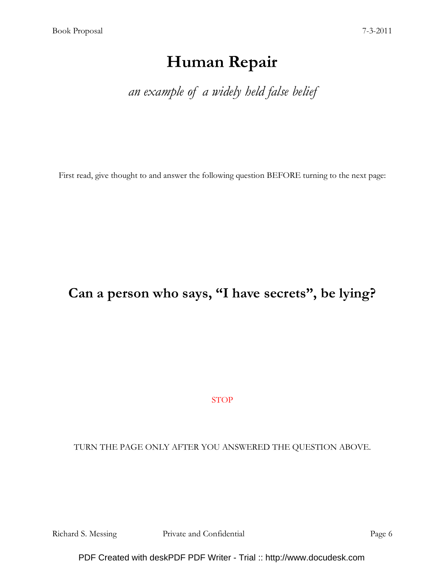# Human Repair

an example of a widely held false belief

First read, give thought to and answer the following question BEFORE turning to the next page:

### Can a person who says, "I have secrets", be lying?

STOP

TURN THE PAGE ONLY AFTER YOU ANSWERED THE QUESTION ABOVE.

Richard S. Messing Private and Confidential Page 6

PDF Created with deskPDF PDF Writer - Trial :: http://www.docudesk.com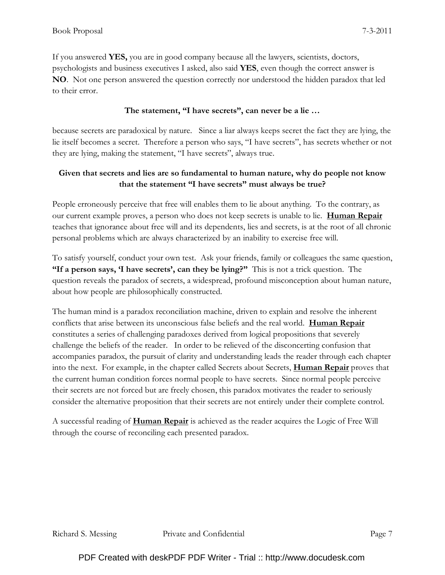If you answered YES, you are in good company because all the lawyers, scientists, doctors, psychologists and business executives I asked, also said YES, even though the correct answer is NO. Not one person answered the question correctly nor understood the hidden paradox that led to their error.

#### The statement, "I have secrets", can never be a lie …

because secrets are paradoxical by nature. Since a liar always keeps secret the fact they are lying, the lie itself becomes a secret. Therefore a person who says, "I have secrets", has secrets whether or not they are lying, making the statement, "I have secrets", always true.

#### Given that secrets and lies are so fundamental to human nature, why do people not know that the statement "I have secrets" must always be true?

People erroneously perceive that free will enables them to lie about anything. To the contrary, as our current example proves, a person who does not keep secrets is unable to lie. **Human Repair** teaches that ignorance about free will and its dependents, lies and secrets, is at the root of all chronic personal problems which are always characterized by an inability to exercise free will.

To satisfy yourself, conduct your own test. Ask your friends, family or colleagues the same question, "If a person says, 'I have secrets', can they be lying?" This is not a trick question. The question reveals the paradox of secrets, a widespread, profound misconception about human nature, about how people are philosophically constructed.

The human mind is a paradox reconciliation machine, driven to explain and resolve the inherent conflicts that arise between its unconscious false beliefs and the real world. Human Repair constitutes a series of challenging paradoxes derived from logical propositions that severely challenge the beliefs of the reader. In order to be relieved of the disconcerting confusion that accompanies paradox, the pursuit of clarity and understanding leads the reader through each chapter into the next. For example, in the chapter called Secrets about Secrets, **Human Repair** proves that the current human condition forces normal people to have secrets. Since normal people perceive their secrets are not forced but are freely chosen, this paradox motivates the reader to seriously consider the alternative proposition that their secrets are not entirely under their complete control.

A successful reading of **Human Repair** is achieved as the reader acquires the Logic of Free Will through the course of reconciling each presented paradox.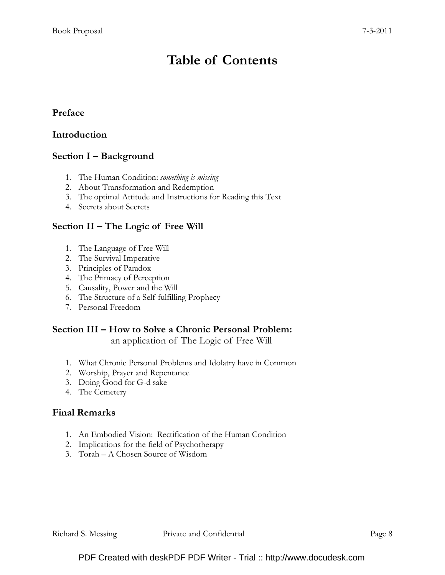# Table of Contents

#### Preface

#### Introduction

#### Section I – Background

- 1. The Human Condition: something is missing
- 2. About Transformation and Redemption
- 3. The optimal Attitude and Instructions for Reading this Text
- 4. Secrets about Secrets

#### Section II – The Logic of Free Will

- 1. The Language of Free Will
- 2. The Survival Imperative
- 3. Principles of Paradox
- 4. The Primacy of Perception
- 5. Causality, Power and the Will
- 6. The Structure of a Self-fulfilling Prophecy
- 7. Personal Freedom

#### Section III – How to Solve a Chronic Personal Problem:

an application of The Logic of Free Will

- 1. What Chronic Personal Problems and Idolatry have in Common
- 2. Worship, Prayer and Repentance
- 3. Doing Good for G-d sake
- 4. The Cemetery

#### Final Remarks

- 1. An Embodied Vision: Rectification of the Human Condition
- 2. Implications for the field of Psychotherapy
- 3. Torah A Chosen Source of Wisdom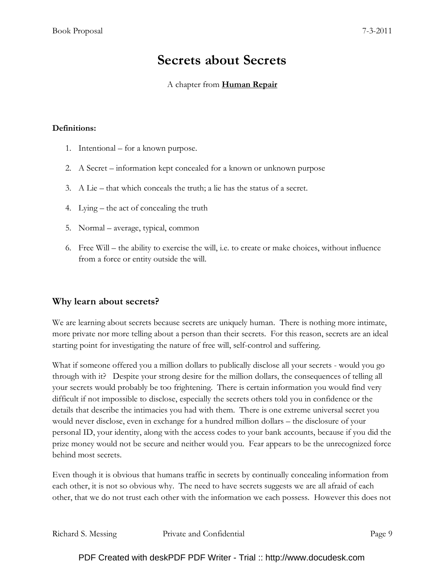# Secrets about Secrets

#### A chapter from Human Repair

#### Definitions:

- 1. Intentional for a known purpose.
- 2. A Secret information kept concealed for a known or unknown purpose
- 3. A Lie that which conceals the truth; a lie has the status of a secret.
- 4. Lying the act of concealing the truth
- 5. Normal average, typical, common
- 6. Free Will the ability to exercise the will, i.e. to create or make choices, without influence from a force or entity outside the will.

#### Why learn about secrets?

We are learning about secrets because secrets are uniquely human. There is nothing more intimate, more private nor more telling about a person than their secrets. For this reason, secrets are an ideal starting point for investigating the nature of free will, self-control and suffering.

What if someone offered you a million dollars to publically disclose all your secrets - would you go through with it? Despite your strong desire for the million dollars, the consequences of telling all your secrets would probably be too frightening. There is certain information you would find very difficult if not impossible to disclose, especially the secrets others told you in confidence or the details that describe the intimacies you had with them. There is one extreme universal secret you would never disclose, even in exchange for a hundred million dollars – the disclosure of your personal ID, your identity, along with the access codes to your bank accounts, because if you did the prize money would not be secure and neither would you. Fear appears to be the unrecognized force behind most secrets.

Even though it is obvious that humans traffic in secrets by continually concealing information from each other, it is not so obvious why. The need to have secrets suggests we are all afraid of each other, that we do not trust each other with the information we each possess. However this does not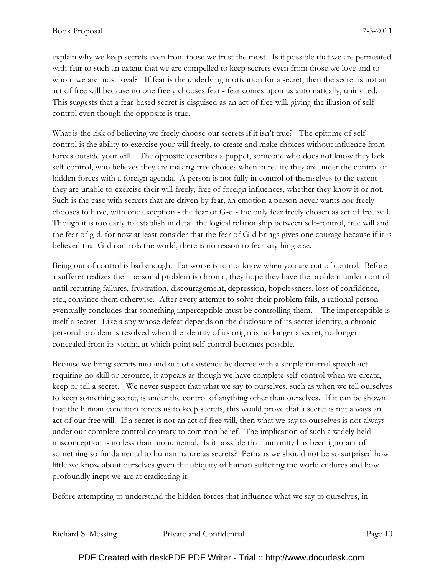explain why we keep secrets even from those we trust the most. Is it possible that we are permeated with fear to such an extent that we are compelled to keep secrets even from those we love and to whom we are most loyal? If fear is the underlying motivation for a secret, then the secret is not an act of free will because no one freely chooses fear - fear comes upon us automatically, uninvited. This suggests that a fear-based secret is disguised as an act of free will, giving the illusion of selfcontrol even though the opposite is true.

What is the risk of believing we freely choose our secrets if it isn't true? The epitome of selfcontrol is the ability to exercise your will freely, to create and make choices without influence from forces outside your will. The opposite describes a puppet, someone who does not know they lack self-control, who believes they are making free choices when in reality they are under the control of hidden forces with a foreign agenda. A person is not fully in control of themselves to the extent they are unable to exercise their will freely, free of foreign influences, whether they know it or not. Such is the case with secrets that are driven by fear, an emotion a person never wants nor freely chooses to have, with one exception - the fear of G-d - the only fear freely chosen as act of free will. Though it is too early to establish in detail the logical relationship between self-control, free will and the fear of g-d, for now at least consider that the fear of G-d brings gives one courage because if it is believed that G-d controls the world, there is no reason to fear anything else.

Being out of control is bad enough. Far worse is to not know when you are out of control. Before a sufferer realizes their personal problem is chronic, they hope they have the problem under control until recurring failures, frustration, discouragement, depression, hopelessness, loss of confidence, etc., convince them otherwise. After every attempt to solve their problem fails, a rational person eventually concludes that something imperceptible must be controlling them. The imperceptible is itself a secret. Like a spy whose defeat depends on the disclosure of its secret identity, a chronic personal problem is resolved when the identity of its origin is no longer a secret, no longer concealed from its victim, at which point self-control becomes possible.

Because we bring secrets into and out of existence by decree with a simple internal speech act requiring no skill or resource, it appears as though we have complete self-control when we create, keep or tell a secret. We never suspect that what we say to ourselves, such as when we tell ourselves to keep something secret, is under the control of anything other than ourselves. If it can be shown that the human condition forces us to keep secrets, this would prove that a secret is not always an act of our free will. If a secret is not an act of free will, then what we say to ourselves is not always under our complete control contrary to common belief. The implication of such a widely held misconception is no less than monumental. Is it possible that humanity has been ignorant of something so fundamental to human nature as secrets? Perhaps we should not be so surprised how little we know about ourselves given the ubiquity of human suffering the world endures and how profoundly inept we are at eradicating it.

Before attempting to understand the hidden forces that influence what we say to ourselves, in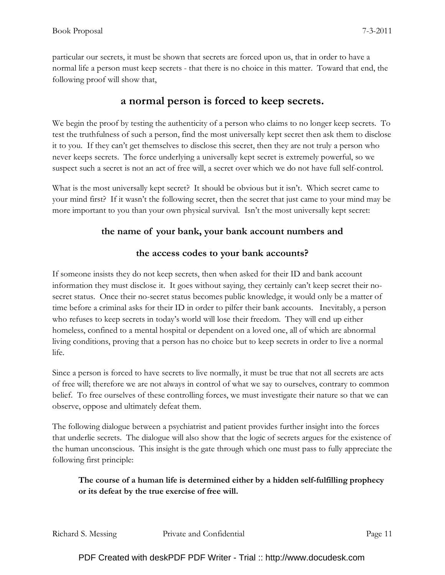particular our secrets, it must be shown that secrets are forced upon us, that in order to have a normal life a person must keep secrets - that there is no choice in this matter. Toward that end, the following proof will show that,

#### a normal person is forced to keep secrets.

We begin the proof by testing the authenticity of a person who claims to no longer keep secrets. To test the truthfulness of such a person, find the most universally kept secret then ask them to disclose it to you. If they can't get themselves to disclose this secret, then they are not truly a person who never keeps secrets. The force underlying a universally kept secret is extremely powerful, so we suspect such a secret is not an act of free will, a secret over which we do not have full self-control.

What is the most universally kept secret? It should be obvious but it isn't. Which secret came to your mind first? If it wasn't the following secret, then the secret that just came to your mind may be more important to you than your own physical survival. Isn't the most universally kept secret:

#### the name of your bank, your bank account numbers and

#### the access codes to your bank accounts?

If someone insists they do not keep secrets, then when asked for their ID and bank account information they must disclose it. It goes without saying, they certainly can't keep secret their nosecret status. Once their no-secret status becomes public knowledge, it would only be a matter of time before a criminal asks for their ID in order to pilfer their bank accounts. Inevitably, a person who refuses to keep secrets in today's world will lose their freedom. They will end up either homeless, confined to a mental hospital or dependent on a loved one, all of which are abnormal living conditions, proving that a person has no choice but to keep secrets in order to live a normal life.

Since a person is forced to have secrets to live normally, it must be true that not all secrets are acts of free will; therefore we are not always in control of what we say to ourselves, contrary to common belief. To free ourselves of these controlling forces, we must investigate their nature so that we can observe, oppose and ultimately defeat them.

The following dialogue between a psychiatrist and patient provides further insight into the forces that underlie secrets. The dialogue will also show that the logic of secrets argues for the existence of the human unconscious. This insight is the gate through which one must pass to fully appreciate the following first principle:

#### The course of a human life is determined either by a hidden self-fulfilling prophecy or its defeat by the true exercise of free will.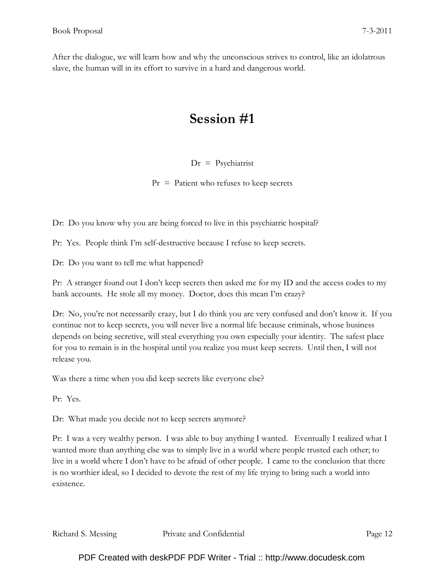After the dialogue, we will learn how and why the unconscious strives to control, like an idolatrous slave, the human will in its effort to survive in a hard and dangerous world.

# Session #1

#### $Dr = P$ sychiatrist

 $Pr =$  Patient who refuses to keep secrets

Dr: Do you know why you are being forced to live in this psychiatric hospital?

Pr: Yes. People think I'm self-destructive because I refuse to keep secrets.

Dr: Do you want to tell me what happened?

Pr: A stranger found out I don't keep secrets then asked me for my ID and the access codes to my bank accounts. He stole all my money. Doctor, does this mean I'm crazy?

Dr: No, you're not necessarily crazy, but I do think you are very confused and don't know it. If you continue not to keep secrets, you will never live a normal life because criminals, whose business depends on being secretive, will steal everything you own especially your identity. The safest place for you to remain is in the hospital until you realize you must keep secrets. Until then, I will not release you.

Was there a time when you did keep secrets like everyone else?

Pr: Yes.

Dr: What made you decide not to keep secrets anymore?

Pr: I was a very wealthy person. I was able to buy anything I wanted. Eventually I realized what I wanted more than anything else was to simply live in a world where people trusted each other; to live in a world where I don't have to be afraid of other people. I came to the conclusion that there is no worthier ideal, so I decided to devote the rest of my life trying to bring such a world into existence.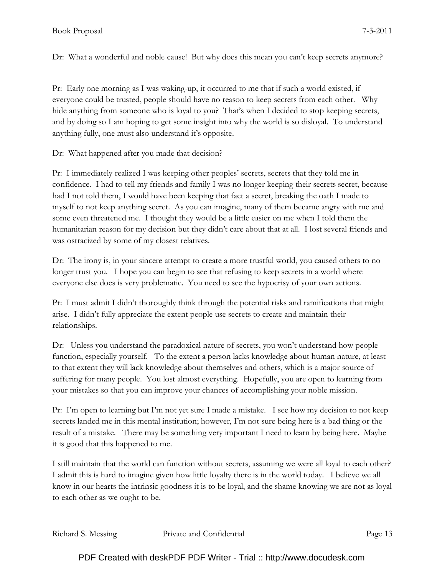Dr: What a wonderful and noble cause! But why does this mean you can't keep secrets anymore?

Pr: Early one morning as I was waking-up, it occurred to me that if such a world existed, if everyone could be trusted, people should have no reason to keep secrets from each other. Why hide anything from someone who is loyal to you? That's when I decided to stop keeping secrets, and by doing so I am hoping to get some insight into why the world is so disloyal. To understand anything fully, one must also understand it's opposite.

Dr: What happened after you made that decision?

Pr: I immediately realized I was keeping other peoples' secrets, secrets that they told me in confidence. I had to tell my friends and family I was no longer keeping their secrets secret, because had I not told them, I would have been keeping that fact a secret, breaking the oath I made to myself to not keep anything secret. As you can imagine, many of them became angry with me and some even threatened me. I thought they would be a little easier on me when I told them the humanitarian reason for my decision but they didn't care about that at all. I lost several friends and was ostracized by some of my closest relatives.

Dr: The irony is, in your sincere attempt to create a more trustful world, you caused others to no longer trust you. I hope you can begin to see that refusing to keep secrets in a world where everyone else does is very problematic. You need to see the hypocrisy of your own actions.

Pr: I must admit I didn't thoroughly think through the potential risks and ramifications that might arise. I didn't fully appreciate the extent people use secrets to create and maintain their relationships.

Dr: Unless you understand the paradoxical nature of secrets, you won't understand how people function, especially yourself. To the extent a person lacks knowledge about human nature, at least to that extent they will lack knowledge about themselves and others, which is a major source of suffering for many people. You lost almost everything. Hopefully, you are open to learning from your mistakes so that you can improve your chances of accomplishing your noble mission.

Pr: I'm open to learning but I'm not yet sure I made a mistake. I see how my decision to not keep secrets landed me in this mental institution; however, I'm not sure being here is a bad thing or the result of a mistake. There may be something very important I need to learn by being here. Maybe it is good that this happened to me.

I still maintain that the world can function without secrets, assuming we were all loyal to each other? I admit this is hard to imagine given how little loyalty there is in the world today. I believe we all know in our hearts the intrinsic goodness it is to be loyal, and the shame knowing we are not as loyal to each other as we ought to be.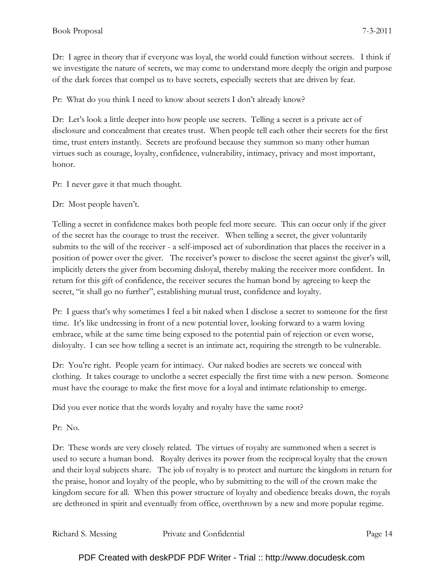Dr: I agree in theory that if everyone was loyal, the world could function without secrets. I think if we investigate the nature of secrets, we may come to understand more deeply the origin and purpose of the dark forces that compel us to have secrets, especially secrets that are driven by fear.

Pr: What do you think I need to know about secrets I don't already know?

Dr: Let's look a little deeper into how people use secrets. Telling a secret is a private act of disclosure and concealment that creates trust. When people tell each other their secrets for the first time, trust enters instantly. Secrets are profound because they summon so many other human virtues such as courage, loyalty, confidence, vulnerability, intimacy, privacy and most important, honor.

Pr: I never gave it that much thought.

Dr: Most people haven't.

Telling a secret in confidence makes both people feel more secure. This can occur only if the giver of the secret has the courage to trust the receiver. When telling a secret, the giver voluntarily submits to the will of the receiver - a self-imposed act of subordination that places the receiver in a position of power over the giver. The receiver's power to disclose the secret against the giver's will, implicitly deters the giver from becoming disloyal, thereby making the receiver more confident. In return for this gift of confidence, the receiver secures the human bond by agreeing to keep the secret, "it shall go no further", establishing mutual trust, confidence and loyalty.

Pr: I guess that's why sometimes I feel a bit naked when I disclose a secret to someone for the first time. It's like undressing in front of a new potential lover, looking forward to a warm loving embrace, while at the same time being exposed to the potential pain of rejection or even worse, disloyalty. I can see how telling a secret is an intimate act, requiring the strength to be vulnerable.

Dr: You're right. People yearn for intimacy. Our naked bodies are secrets we conceal with clothing. It takes courage to unclothe a secret especially the first time with a new person. Someone must have the courage to make the first move for a loyal and intimate relationship to emerge.

Did you ever notice that the words loyalty and royalty have the same root?

Pr: No.

Dr: These words are very closely related. The virtues of royalty are summoned when a secret is used to secure a human bond. Royalty derives its power from the reciprocal loyalty that the crown and their loyal subjects share. The job of royalty is to protect and nurture the kingdom in return for the praise, honor and loyalty of the people, who by submitting to the will of the crown make the kingdom secure for all. When this power structure of loyalty and obedience breaks down, the royals are dethroned in spirit and eventually from office, overthrown by a new and more popular regime.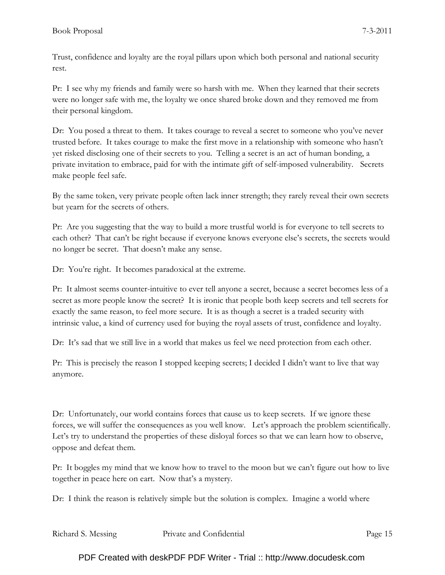Trust, confidence and loyalty are the royal pillars upon which both personal and national security rest.

Pr: I see why my friends and family were so harsh with me. When they learned that their secrets were no longer safe with me, the loyalty we once shared broke down and they removed me from their personal kingdom.

Dr: You posed a threat to them. It takes courage to reveal a secret to someone who you've never trusted before. It takes courage to make the first move in a relationship with someone who hasn't yet risked disclosing one of their secrets to you. Telling a secret is an act of human bonding, a private invitation to embrace, paid for with the intimate gift of self-imposed vulnerability. Secrets make people feel safe.

By the same token, very private people often lack inner strength; they rarely reveal their own secrets but yearn for the secrets of others.

Pr: Are you suggesting that the way to build a more trustful world is for everyone to tell secrets to each other? That can't be right because if everyone knows everyone else's secrets, the secrets would no longer be secret. That doesn't make any sense.

Dr: You're right. It becomes paradoxical at the extreme.

Pr: It almost seems counter-intuitive to ever tell anyone a secret, because a secret becomes less of a secret as more people know the secret? It is ironic that people both keep secrets and tell secrets for exactly the same reason, to feel more secure. It is as though a secret is a traded security with intrinsic value, a kind of currency used for buying the royal assets of trust, confidence and loyalty.

Dr: It's sad that we still live in a world that makes us feel we need protection from each other.

Pr: This is precisely the reason I stopped keeping secrets; I decided I didn't want to live that way anymore.

Dr: Unfortunately, our world contains forces that cause us to keep secrets. If we ignore these forces, we will suffer the consequences as you well know. Let's approach the problem scientifically. Let's try to understand the properties of these disloyal forces so that we can learn how to observe, oppose and defeat them.

Pr: It boggles my mind that we know how to travel to the moon but we can't figure out how to live together in peace here on eart. Now that's a mystery.

Dr: I think the reason is relatively simple but the solution is complex. Imagine a world where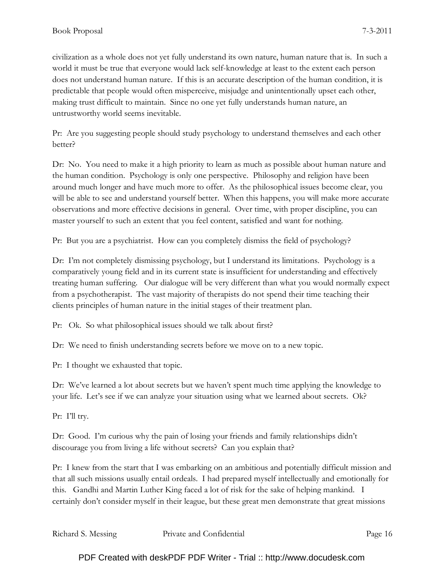civilization as a whole does not yet fully understand its own nature, human nature that is. In such a world it must be true that everyone would lack self-knowledge at least to the extent each person does not understand human nature. If this is an accurate description of the human condition, it is predictable that people would often misperceive, misjudge and unintentionally upset each other, making trust difficult to maintain. Since no one yet fully understands human nature, an untrustworthy world seems inevitable.

Pr: Are you suggesting people should study psychology to understand themselves and each other better?

Dr: No. You need to make it a high priority to learn as much as possible about human nature and the human condition. Psychology is only one perspective. Philosophy and religion have been around much longer and have much more to offer. As the philosophical issues become clear, you will be able to see and understand yourself better. When this happens, you will make more accurate observations and more effective decisions in general. Over time, with proper discipline, you can master yourself to such an extent that you feel content, satisfied and want for nothing.

Pr: But you are a psychiatrist. How can you completely dismiss the field of psychology?

Dr: I'm not completely dismissing psychology, but I understand its limitations. Psychology is a comparatively young field and in its current state is insufficient for understanding and effectively treating human suffering. Our dialogue will be very different than what you would normally expect from a psychotherapist. The vast majority of therapists do not spend their time teaching their clients principles of human nature in the initial stages of their treatment plan.

Pr: Ok. So what philosophical issues should we talk about first?

Dr: We need to finish understanding secrets before we move on to a new topic.

Pr: I thought we exhausted that topic.

Dr: We've learned a lot about secrets but we haven't spent much time applying the knowledge to your life. Let's see if we can analyze your situation using what we learned about secrets. Ok?

Pr: I'll try.

Dr: Good. I'm curious why the pain of losing your friends and family relationships didn't discourage you from living a life without secrets? Can you explain that?

Pr: I knew from the start that I was embarking on an ambitious and potentially difficult mission and that all such missions usually entail ordeals. I had prepared myself intellectually and emotionally for this. Gandhi and Martin Luther King faced a lot of risk for the sake of helping mankind. I certainly don't consider myself in their league, but these great men demonstrate that great missions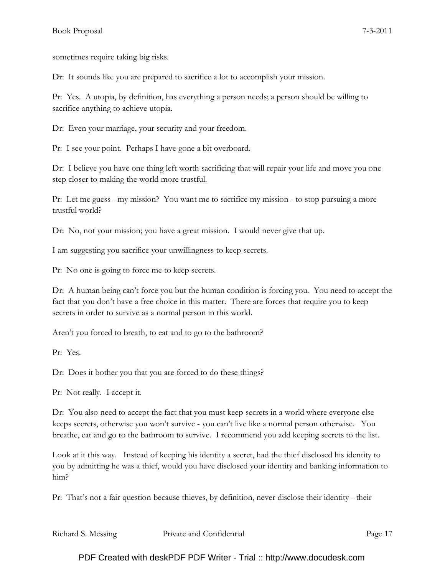sometimes require taking big risks.

Dr: It sounds like you are prepared to sacrifice a lot to accomplish your mission.

Pr: Yes. A utopia, by definition, has everything a person needs; a person should be willing to sacrifice anything to achieve utopia.

Dr: Even your marriage, your security and your freedom.

Pr: I see your point. Perhaps I have gone a bit overboard.

Dr: I believe you have one thing left worth sacrificing that will repair your life and move you one step closer to making the world more trustful.

Pr: Let me guess - my mission? You want me to sacrifice my mission - to stop pursuing a more trustful world?

Dr: No, not your mission; you have a great mission. I would never give that up.

I am suggesting you sacrifice your unwillingness to keep secrets.

Pr: No one is going to force me to keep secrets.

Dr: A human being can't force you but the human condition is forcing you. You need to accept the fact that you don't have a free choice in this matter. There are forces that require you to keep secrets in order to survive as a normal person in this world.

Aren't you forced to breath, to eat and to go to the bathroom?

Pr: Yes.

Dr: Does it bother you that you are forced to do these things?

Pr: Not really. I accept it.

Dr: You also need to accept the fact that you must keep secrets in a world where everyone else keeps secrets, otherwise you won't survive - you can't live like a normal person otherwise. You breathe, eat and go to the bathroom to survive. I recommend you add keeping secrets to the list.

Look at it this way. Instead of keeping his identity a secret, had the thief disclosed his identity to you by admitting he was a thief, would you have disclosed your identity and banking information to him?

Pr: That's not a fair question because thieves, by definition, never disclose their identity - their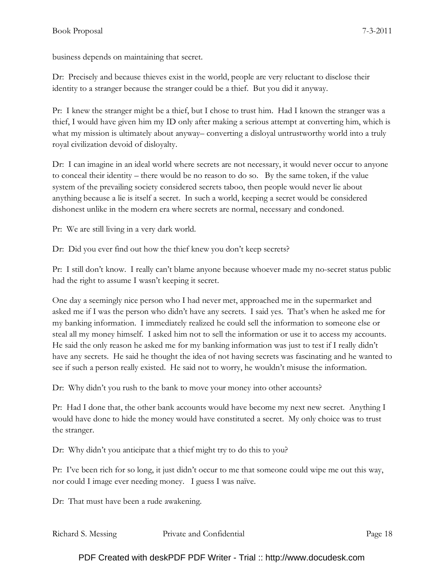business depends on maintaining that secret.

Dr: Precisely and because thieves exist in the world, people are very reluctant to disclose their identity to a stranger because the stranger could be a thief. But you did it anyway.

Pr: I knew the stranger might be a thief, but I chose to trust him. Had I known the stranger was a thief, I would have given him my ID only after making a serious attempt at converting him, which is what my mission is ultimately about anyway– converting a disloyal untrustworthy world into a truly royal civilization devoid of disloyalty.

Dr: I can imagine in an ideal world where secrets are not necessary, it would never occur to anyone to conceal their identity – there would be no reason to do so. By the same token, if the value system of the prevailing society considered secrets taboo, then people would never lie about anything because a lie is itself a secret. In such a world, keeping a secret would be considered dishonest unlike in the modern era where secrets are normal, necessary and condoned.

Pr: We are still living in a very dark world.

Dr: Did you ever find out how the thief knew you don't keep secrets?

Pr: I still don't know. I really can't blame anyone because whoever made my no-secret status public had the right to assume I wasn't keeping it secret.

One day a seemingly nice person who I had never met, approached me in the supermarket and asked me if I was the person who didn't have any secrets. I said yes. That's when he asked me for my banking information. I immediately realized he could sell the information to someone else or steal all my money himself. I asked him not to sell the information or use it to access my accounts. He said the only reason he asked me for my banking information was just to test if I really didn't have any secrets. He said he thought the idea of not having secrets was fascinating and he wanted to see if such a person really existed. He said not to worry, he wouldn't misuse the information.

Dr: Why didn't you rush to the bank to move your money into other accounts?

Pr: Had I done that, the other bank accounts would have become my next new secret. Anything I would have done to hide the money would have constituted a secret. My only choice was to trust the stranger.

Dr: Why didn't you anticipate that a thief might try to do this to you?

Pr: I've been rich for so long, it just didn't occur to me that someone could wipe me out this way, nor could I image ever needing money. I guess I was naïve.

Dr: That must have been a rude awakening.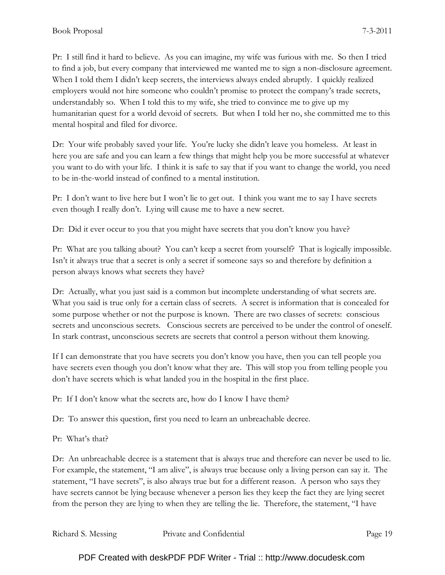Pr: I still find it hard to believe. As you can imagine, my wife was furious with me. So then I tried to find a job, but every company that interviewed me wanted me to sign a non-disclosure agreement. When I told them I didn't keep secrets, the interviews always ended abruptly. I quickly realized employers would not hire someone who couldn't promise to protect the company's trade secrets, understandably so. When I told this to my wife, she tried to convince me to give up my humanitarian quest for a world devoid of secrets. But when I told her no, she committed me to this mental hospital and filed for divorce.

Dr: Your wife probably saved your life. You're lucky she didn't leave you homeless. At least in here you are safe and you can learn a few things that might help you be more successful at whatever you want to do with your life. I think it is safe to say that if you want to change the world, you need to be in-the-world instead of confined to a mental institution.

Pr: I don't want to live here but I won't lie to get out. I think you want me to say I have secrets even though I really don't. Lying will cause me to have a new secret.

Dr: Did it ever occur to you that you might have secrets that you don't know you have?

Pr: What are you talking about? You can't keep a secret from yourself? That is logically impossible. Isn't it always true that a secret is only a secret if someone says so and therefore by definition a person always knows what secrets they have?

Dr: Actually, what you just said is a common but incomplete understanding of what secrets are. What you said is true only for a certain class of secrets. A secret is information that is concealed for some purpose whether or not the purpose is known. There are two classes of secrets: conscious secrets and unconscious secrets. Conscious secrets are perceived to be under the control of oneself. In stark contrast, unconscious secrets are secrets that control a person without them knowing.

If I can demonstrate that you have secrets you don't know you have, then you can tell people you have secrets even though you don't know what they are. This will stop you from telling people you don't have secrets which is what landed you in the hospital in the first place.

Pr: If I don't know what the secrets are, how do I know I have them?

Dr: To answer this question, first you need to learn an unbreachable decree.

Pr: What's that?

Dr: An unbreachable decree is a statement that is always true and therefore can never be used to lie. For example, the statement, "I am alive", is always true because only a living person can say it. The statement, "I have secrets", is also always true but for a different reason. A person who says they have secrets cannot be lying because whenever a person lies they keep the fact they are lying secret from the person they are lying to when they are telling the lie. Therefore, the statement, "I have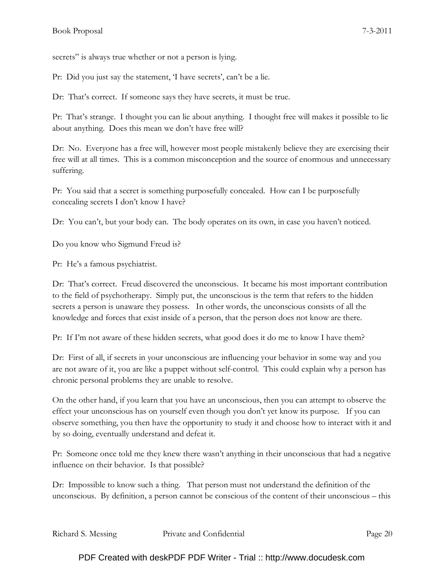secrets" is always true whether or not a person is lying.

Pr: Did you just say the statement, 'I have secrets', can't be a lie.

Dr: That's correct. If someone says they have secrets, it must be true.

Pr: That's strange. I thought you can lie about anything. I thought free will makes it possible to lie about anything. Does this mean we don't have free will?

Dr: No. Everyone has a free will, however most people mistakenly believe they are exercising their free will at all times. This is a common misconception and the source of enormous and unnecessary suffering.

Pr: You said that a secret is something purposefully concealed. How can I be purposefully concealing secrets I don't know I have?

Dr: You can't, but your body can. The body operates on its own, in case you haven't noticed.

Do you know who Sigmund Freud is?

Pr: He's a famous psychiatrist.

Dr: That's correct. Freud discovered the unconscious. It became his most important contribution to the field of psychotherapy. Simply put, the unconscious is the term that refers to the hidden secrets a person is unaware they possess. In other words, the unconscious consists of all the knowledge and forces that exist inside of a person, that the person does not know are there.

Pr: If I'm not aware of these hidden secrets, what good does it do me to know I have them?

Dr: First of all, if secrets in your unconscious are influencing your behavior in some way and you are not aware of it, you are like a puppet without self-control. This could explain why a person has chronic personal problems they are unable to resolve.

On the other hand, if you learn that you have an unconscious, then you can attempt to observe the effect your unconscious has on yourself even though you don't yet know its purpose. If you can observe something, you then have the opportunity to study it and choose how to interact with it and by so doing, eventually understand and defeat it.

Pr: Someone once told me they knew there wasn't anything in their unconscious that had a negative influence on their behavior. Is that possible?

Dr: Impossible to know such a thing. That person must not understand the definition of the unconscious. By definition, a person cannot be conscious of the content of their unconscious – this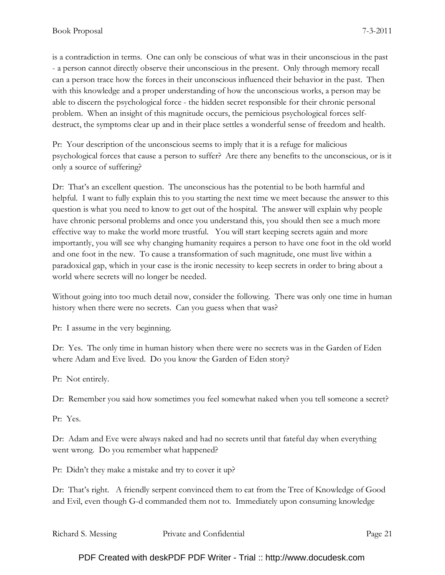is a contradiction in terms. One can only be conscious of what was in their unconscious in the past - a person cannot directly observe their unconscious in the present. Only through memory recall can a person trace how the forces in their unconscious influenced their behavior in the past. Then with this knowledge and a proper understanding of how the unconscious works, a person may be able to discern the psychological force - the hidden secret responsible for their chronic personal problem. When an insight of this magnitude occurs, the pernicious psychological forces selfdestruct, the symptoms clear up and in their place settles a wonderful sense of freedom and health.

Pr: Your description of the unconscious seems to imply that it is a refuge for malicious psychological forces that cause a person to suffer? Are there any benefits to the unconscious, or is it only a source of suffering?

Dr: That's an excellent question. The unconscious has the potential to be both harmful and helpful. I want to fully explain this to you starting the next time we meet because the answer to this question is what you need to know to get out of the hospital. The answer will explain why people have chronic personal problems and once you understand this, you should then see a much more effective way to make the world more trustful. You will start keeping secrets again and more importantly, you will see why changing humanity requires a person to have one foot in the old world and one foot in the new. To cause a transformation of such magnitude, one must live within a paradoxical gap, which in your case is the ironic necessity to keep secrets in order to bring about a world where secrets will no longer be needed.

Without going into too much detail now, consider the following. There was only one time in human history when there were no secrets. Can you guess when that was?

Pr: I assume in the very beginning.

Dr: Yes. The only time in human history when there were no secrets was in the Garden of Eden where Adam and Eve lived. Do you know the Garden of Eden story?

Pr: Not entirely.

Dr: Remember you said how sometimes you feel somewhat naked when you tell someone a secret?

Pr: Yes.

Dr: Adam and Eve were always naked and had no secrets until that fateful day when everything went wrong. Do you remember what happened?

Pr: Didn't they make a mistake and try to cover it up?

Dr: That's right. A friendly serpent convinced them to eat from the Tree of Knowledge of Good and Evil, even though G-d commanded them not to. Immediately upon consuming knowledge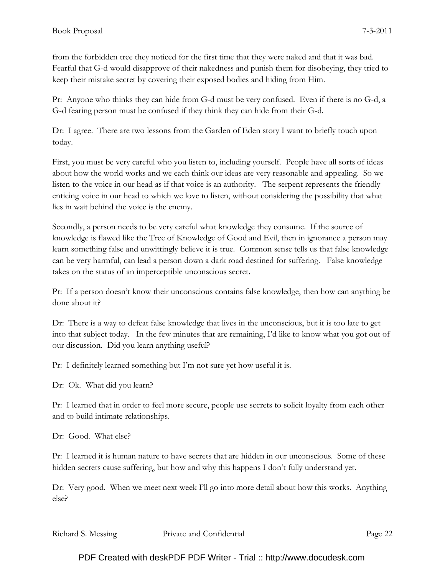from the forbidden tree they noticed for the first time that they were naked and that it was bad. Fearful that G-d would disapprove of their nakedness and punish them for disobeying, they tried to keep their mistake secret by covering their exposed bodies and hiding from Him.

Pr: Anyone who thinks they can hide from G-d must be very confused. Even if there is no G-d, a G-d fearing person must be confused if they think they can hide from their G-d.

Dr: I agree. There are two lessons from the Garden of Eden story I want to briefly touch upon today.

First, you must be very careful who you listen to, including yourself. People have all sorts of ideas about how the world works and we each think our ideas are very reasonable and appealing. So we listen to the voice in our head as if that voice is an authority. The serpent represents the friendly enticing voice in our head to which we love to listen, without considering the possibility that what lies in wait behind the voice is the enemy.

Secondly, a person needs to be very careful what knowledge they consume. If the source of knowledge is flawed like the Tree of Knowledge of Good and Evil, then in ignorance a person may learn something false and unwittingly believe it is true. Common sense tells us that false knowledge can be very harmful, can lead a person down a dark road destined for suffering. False knowledge takes on the status of an imperceptible unconscious secret.

Pr: If a person doesn't know their unconscious contains false knowledge, then how can anything be done about it?

Dr: There is a way to defeat false knowledge that lives in the unconscious, but it is too late to get into that subject today. In the few minutes that are remaining, I'd like to know what you got out of our discussion. Did you learn anything useful?

Pr: I definitely learned something but I'm not sure yet how useful it is.

Dr: Ok. What did you learn?

Pr: I learned that in order to feel more secure, people use secrets to solicit loyalty from each other and to build intimate relationships.

Dr: Good. What else?

Pr: I learned it is human nature to have secrets that are hidden in our unconscious. Some of these hidden secrets cause suffering, but how and why this happens I don't fully understand yet.

Dr: Very good. When we meet next week I'll go into more detail about how this works. Anything else?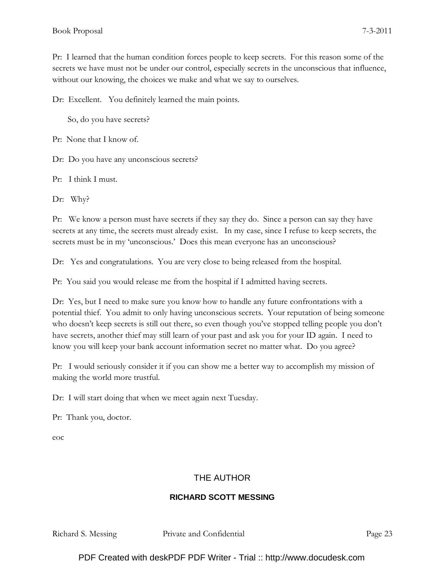Pr: I learned that the human condition forces people to keep secrets. For this reason some of the secrets we have must not be under our control, especially secrets in the unconscious that influence, without our knowing, the choices we make and what we say to ourselves.

Dr: Excellent. You definitely learned the main points.

So, do you have secrets?

Pr: None that I know of.

Dr: Do you have any unconscious secrets?

Pr: I think I must.

Dr: Why?

Pr: We know a person must have secrets if they say they do. Since a person can say they have secrets at any time, the secrets must already exist. In my case, since I refuse to keep secrets, the secrets must be in my 'unconscious.' Does this mean everyone has an unconscious?

Dr: Yes and congratulations. You are very close to being released from the hospital.

Pr: You said you would release me from the hospital if I admitted having secrets.

Dr: Yes, but I need to make sure you know how to handle any future confrontations with a potential thief. You admit to only having unconscious secrets. Your reputation of being someone who doesn't keep secrets is still out there, so even though you've stopped telling people you don't have secrets, another thief may still learn of your past and ask you for your ID again. I need to know you will keep your bank account information secret no matter what. Do you agree?

Pr: I would seriously consider it if you can show me a better way to accomplish my mission of making the world more trustful.

Dr: I will start doing that when we meet again next Tuesday.

Pr: Thank you, doctor.

eoc

#### THE AUTHOR

#### **RICHARD SCOTT MESSING**